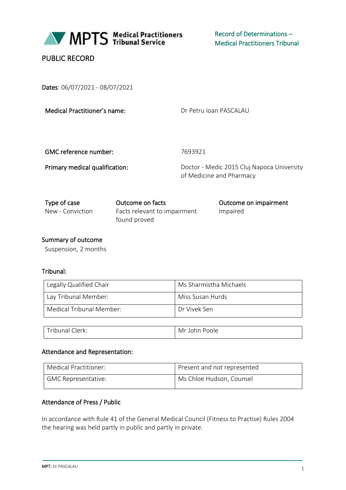

# PUBLIC RECORD

Dates: 06/07/2021 - 08/07/2021

Dr Petru Ioan PASCALAU

GMC reference number: 7693921

Primary medical qualification: Doctor - Medic 2015 Cluj Napoca University of Medicine and Pharmacy

| Type of case     | Outcome on facts                             | Outcome on impairment |
|------------------|----------------------------------------------|-----------------------|
| New - Conviction | Facts relevant to impairment<br>found proved | Impaired              |

## Summary of outcome

Suspension, 2 months

## Tribunal:

| Legally Qualified Chair  | Ms Sharmistha Michaels |
|--------------------------|------------------------|
| Lay Tribunal Member:     | Miss Susan Hurds       |
| Medical Tribunal Member: | Dr Vivek Sen           |

| $\overline{ }$<br>`rıbunaı<br>lerk: | Mr<br>anle<br>inhr<br>∽ |
|-------------------------------------|-------------------------|
|-------------------------------------|-------------------------|

#### Attendance and Representation:

| Medical Practitioner: | Present and not represented |
|-----------------------|-----------------------------|
| GMC Representative:   | Ms Chloe Hudson, Counsel    |

## Attendance of Press / Public

In accordance with Rule 41 of the General Medical Council (Fitness to Practise) Rules 2004 the hearing was held partly in public and partly in private.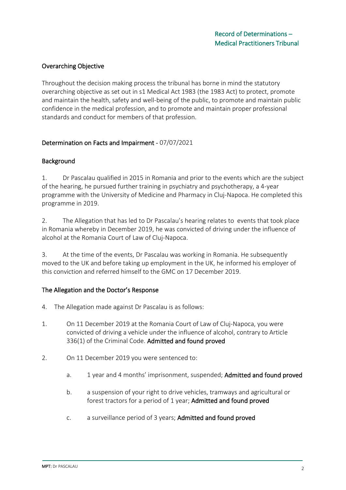## Overarching Objective

Throughout the decision making process the tribunal has borne in mind the statutory overarching objective as set out in s1 Medical Act 1983 (the 1983 Act) to protect, promote and maintain the health, safety and well-being of the public, to promote and maintain public confidence in the medical profession, and to promote and maintain proper professional standards and conduct for members of that profession.

## Determination on Facts and Impairment - 07/07/2021

#### Background

1. Dr Pascalau qualified in 2015 in Romania and prior to the events which are the subject of the hearing, he pursued further training in psychiatry and psychotherapy, a 4-year programme with the University of Medicine and Pharmacy in Cluj-Napoca. He completed this programme in 2019.

2. The Allegation that has led to Dr Pascalau's hearing relates to events that took place in Romania whereby in December 2019, he was convicted of driving under the influence of alcohol at the Romania Court of Law of Cluj-Napoca.

3. At the time of the events, Dr Pascalau was working in Romania. He subsequently moved to the UK and before taking up employment in the UK, he informed his employer of this conviction and referred himself to the GMC on 17 December 2019.

#### The Allegation and the Doctor's Response

- 4. The Allegation made against Dr Pascalau is as follows:
- 1. On 11 December 2019 at the Romania Court of Law of Cluj-Napoca, you were convicted of driving a vehicle under the influence of alcohol, contrary to Article 336(1) of the Criminal Code. Admitted and found proved
- 2. On 11 December 2019 you were sentenced to:
	- a. 1 year and 4 months' imprisonment, suspended; **Admitted and found proved**
	- b. a suspension of your right to drive vehicles, tramways and agricultural or forest tractors for a period of 1 year; Admitted and found proved
	- c. a surveillance period of 3 years; Admitted and found proved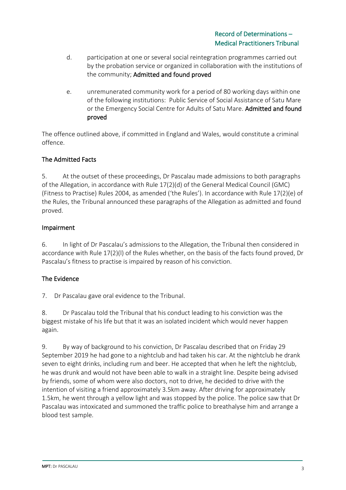- d. participation at one or several social reintegration programmes carried out by the probation service or organized in collaboration with the institutions of the community; Admitted and found proved
- e. unremunerated community work for a period of 80 working days within one of the following institutions: Public Service of Social Assistance of Satu Mare or the Emergency Social Centre for Adults of Satu Mare. Admitted and found proved

The offence outlined above, if committed in England and Wales, would constitute a criminal offence.

# The Admitted Facts

5. At the outset of these proceedings, Dr Pascalau made admissions to both paragraphs of the Allegation, in accordance with Rule 17(2)(d) of the General Medical Council (GMC) (Fitness to Practise) Rules 2004, as amended ('the Rules'). In accordance with Rule 17(2)(e) of the Rules, the Tribunal announced these paragraphs of the Allegation as admitted and found proved.

## Impairment

6. In light of Dr Pascalau's admissions to the Allegation, the Tribunal then considered in accordance with Rule 17(2)(l) of the Rules whether, on the basis of the facts found proved, Dr Pascalau's fitness to practise is impaired by reason of his conviction.

# The Evidence

7. Dr Pascalau gave oral evidence to the Tribunal.

8. Dr Pascalau told the Tribunal that his conduct leading to his conviction was the biggest mistake of his life but that it was an isolated incident which would never happen again.

9. By way of background to his conviction, Dr Pascalau described that on Friday 29 September 2019 he had gone to a nightclub and had taken his car. At the nightclub he drank seven to eight drinks, including rum and beer. He accepted that when he left the nightclub, he was drunk and would not have been able to walk in a straight line. Despite being advised by friends, some of whom were also doctors, not to drive, he decided to drive with the intention of visiting a friend approximately 3.5km away. After driving for approximately 1.5km, he went through a yellow light and was stopped by the police. The police saw that Dr Pascalau was intoxicated and summoned the traffic police to breathalyse him and arrange a blood test sample.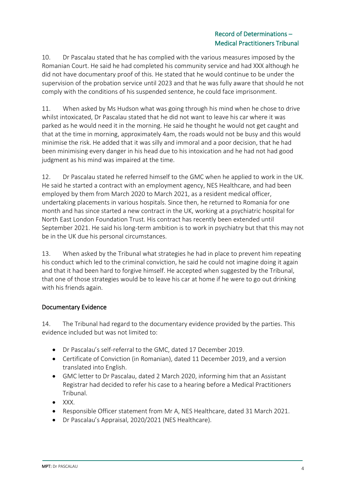10. Dr Pascalau stated that he has complied with the various measures imposed by the Romanian Court. He said he had completed his community service and had XXX although he did not have documentary proof of this. He stated that he would continue to be under the supervision of the probation service until 2023 and that he was fully aware that should he not comply with the conditions of his suspended sentence, he could face imprisonment.

11. When asked by Ms Hudson what was going through his mind when he chose to drive whilst intoxicated, Dr Pascalau stated that he did not want to leave his car where it was parked as he would need it in the morning. He said he thought he would not get caught and that at the time in morning, approximately 4am, the roads would not be busy and this would minimise the risk. He added that it was silly and immoral and a poor decision, that he had been minimising every danger in his head due to his intoxication and he had not had good judgment as his mind was impaired at the time.

12. Dr Pascalau stated he referred himself to the GMC when he applied to work in the UK. He said he started a contract with an employment agency, NES Healthcare, and had been employed by them from March 2020 to March 2021, as a resident medical officer, undertaking placements in various hospitals. Since then, he returned to Romania for one month and has since started a new contract in the UK, working at a psychiatric hospital for North East London Foundation Trust. His contract has recently been extended until September 2021. He said his long-term ambition is to work in psychiatry but that this may not be in the UK due his personal circumstances.

13. When asked by the Tribunal what strategies he had in place to prevent him repeating his conduct which led to the criminal conviction, he said he could not imagine doing it again and that it had been hard to forgive himself. He accepted when suggested by the Tribunal, that one of those strategies would be to leave his car at home if he were to go out drinking with his friends again.

# Documentary Evidence

14. The Tribunal had regard to the documentary evidence provided by the parties. This evidence included but was not limited to:

- Dr Pascalau's self-referral to the GMC, dated 17 December 2019.
- Certificate of Conviction (in Romanian), dated 11 December 2019, and a version translated into English.
- GMC letter to Dr Pascalau, dated 2 March 2020, informing him that an Assistant Registrar had decided to refer his case to a hearing before a Medical Practitioners Tribunal.
- $\bullet$  XXX.
- Responsible Officer statement from Mr A, NES Healthcare, dated 31 March 2021.
- Dr Pascalau's Appraisal, 2020/2021 (NES Healthcare).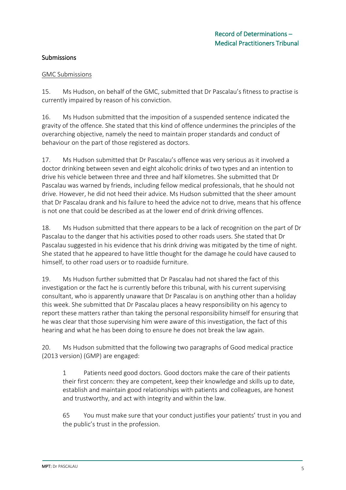# Submissions

#### GMC Submissions

15. Ms Hudson, on behalf of the GMC, submitted that Dr Pascalau's fitness to practise is currently impaired by reason of his conviction.

16. Ms Hudson submitted that the imposition of a suspended sentence indicated the gravity of the offence. She stated that this kind of offence undermines the principles of the overarching objective, namely the need to maintain proper standards and conduct of behaviour on the part of those registered as doctors.

17. Ms Hudson submitted that Dr Pascalau's offence was very serious as it involved a doctor drinking between seven and eight alcoholic drinks of two types and an intention to drive his vehicle between three and three and half kilometres. She submitted that Dr Pascalau was warned by friends, including fellow medical professionals, that he should not drive. However, he did not heed their advice. Ms Hudson submitted that the sheer amount that Dr Pascalau drank and his failure to heed the advice not to drive, means that his offence is not one that could be described as at the lower end of drink driving offences.

18. Ms Hudson submitted that there appears to be a lack of recognition on the part of Dr Pascalau to the danger that his activities posed to other roads users. She stated that Dr Pascalau suggested in his evidence that his drink driving was mitigated by the time of night. She stated that he appeared to have little thought for the damage he could have caused to himself, to other road users or to roadside furniture.

19. Ms Hudson further submitted that Dr Pascalau had not shared the fact of this investigation or the fact he is currently before this tribunal, with his current supervising consultant, who is apparently unaware that Dr Pascalau is on anything other than a holiday this week. She submitted that Dr Pascalau places a heavy responsibility on his agency to report these matters rather than taking the personal responsibility himself for ensuring that he was clear that those supervising him were aware of this investigation, the fact of this hearing and what he has been doing to ensure he does not break the law again.

20. Ms Hudson submitted that the following two paragraphs of Good medical practice (2013 version) (GMP) are engaged:

1 Patients need good doctors. Good doctors make the care of their patients their first concern: they are competent, keep their knowledge and skills up to date, establish and maintain good relationships with patients and colleagues, are honest and trustworthy, and act with integrity and within the law.

65 You must make sure that your conduct justifies your patients' trust in you and the public's trust in the profession.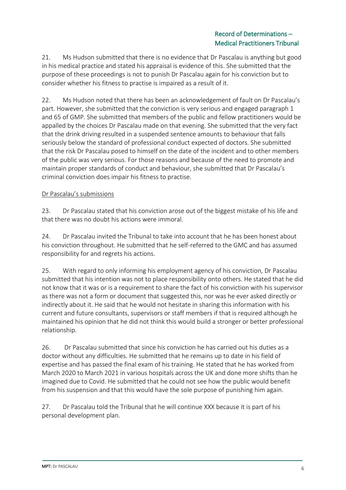21. Ms Hudson submitted that there is no evidence that Dr Pascalau is anything but good in his medical practice and stated his appraisal is evidence of this. She submitted that the purpose of these proceedings is not to punish Dr Pascalau again for his conviction but to consider whether his fitness to practise is impaired as a result of it.

22. Ms Hudson noted that there has been an acknowledgement of fault on Dr Pascalau's part. However, she submitted that the conviction is very serious and engaged paragraph 1 and 65 of GMP. She submitted that members of the public and fellow practitioners would be appalled by the choices Dr Pascalau made on that evening. She submitted that the very fact that the drink driving resulted in a suspended sentence amounts to behaviour that falls seriously below the standard of professional conduct expected of doctors. She submitted that the risk Dr Pascalau posed to himself on the date of the incident and to other members of the public was very serious. For those reasons and because of the need to promote and maintain proper standards of conduct and behaviour, she submitted that Dr Pascalau's criminal conviction does impair his fitness to practise.

## Dr Pascalau's submissions

23. Dr Pascalau stated that his conviction arose out of the biggest mistake of his life and that there was no doubt his actions were immoral.

24. Dr Pascalau invited the Tribunal to take into account that he has been honest about his conviction throughout. He submitted that he self-referred to the GMC and has assumed responsibility for and regrets his actions.

25. With regard to only informing his employment agency of his conviction, Dr Pascalau submitted that his intention was not to place responsibility onto others. He stated that he did not know that it was or is a requirement to share the fact of his conviction with his supervisor as there was not a form or document that suggested this, nor was he ever asked directly or indirectly about it. He said that he would not hesitate in sharing this information with his current and future consultants, supervisors or staff members if that is required although he maintained his opinion that he did not think this would build a stronger or better professional relationship.

26. Dr Pascalau submitted that since his conviction he has carried out his duties as a doctor without any difficulties. He submitted that he remains up to date in his field of expertise and has passed the final exam of his training. He stated that he has worked from March 2020 to March 2021 in various hospitals across the UK and done more shifts than he imagined due to Covid. He submitted that he could not see how the public would benefit from his suspension and that this would have the sole purpose of punishing him again.

27. Dr Pascalau told the Tribunal that he will continue XXX because it is part of his personal development plan.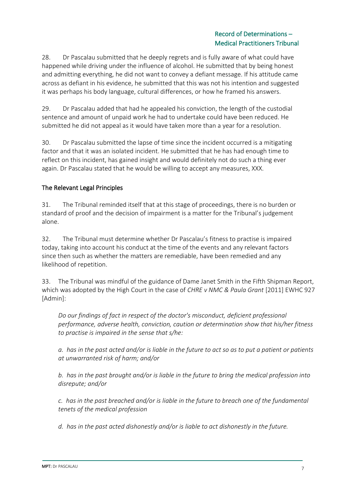28. Dr Pascalau submitted that he deeply regrets and is fully aware of what could have happened while driving under the influence of alcohol. He submitted that by being honest and admitting everything, he did not want to convey a defiant message. If his attitude came across as defiant in his evidence, he submitted that this was not his intention and suggested it was perhaps his body language, cultural differences, or how he framed his answers.

29. Dr Pascalau added that had he appealed his conviction, the length of the custodial sentence and amount of unpaid work he had to undertake could have been reduced. He submitted he did not appeal as it would have taken more than a year for a resolution.

30. Dr Pascalau submitted the lapse of time since the incident occurred is a mitigating factor and that it was an isolated incident. He submitted that he has had enough time to reflect on this incident, has gained insight and would definitely not do such a thing ever again. Dr Pascalau stated that he would be willing to accept any measures, XXX.

## The Relevant Legal Principles

31. The Tribunal reminded itself that at this stage of proceedings, there is no burden or standard of proof and the decision of impairment is a matter for the Tribunal's judgement alone.

32. The Tribunal must determine whether Dr Pascalau's fitness to practise is impaired today, taking into account his conduct at the time of the events and any relevant factors since then such as whether the matters are remediable, have been remedied and any likelihood of repetition.

33. The Tribunal was mindful of the guidance of Dame Janet Smith in the Fifth Shipman Report, which was adopted by the High Court in the case of *CHRE v NMC & Paula Grant* [2011] EWHC 927 [Admin]:

*Do our findings of fact in respect of the doctor's misconduct, deficient professional performance, adverse health, conviction, caution or determination show that his/her fitness to practise is impaired in the sense that s/he:*

*a. has in the past acted and/or is liable in the future to act so as to put a patient or patients at unwarranted risk of harm; and/or*

*b. has in the past brought and/or is liable in the future to bring the medical profession into disrepute; and/or*

*c. has in the past breached and/or is liable in the future to breach one of the fundamental tenets of the medical profession*

*d. has in the past acted dishonestly and/or is liable to act dishonestly in the future.*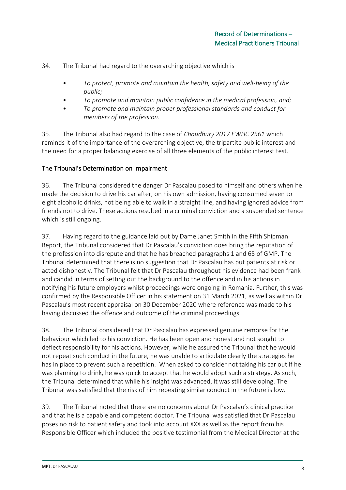34. The Tribunal had regard to the overarching objective which is

- *• To protect, promote and maintain the health, safety and well-being of the public;*
- *• To promote and maintain public confidence in the medical profession, and;*
- *• To promote and maintain proper professional standards and conduct for members of the profession.*

35. The Tribunal also had regard to the case of *Chaudhury 2017 EWHC 2561* which reminds it of the importance of the overarching objective, the tripartite public interest and the need for a proper balancing exercise of all three elements of the public interest test.

## The Tribunal's Determination on Impairment

36. The Tribunal considered the danger Dr Pascalau posed to himself and others when he made the decision to drive his car after, on his own admission, having consumed seven to eight alcoholic drinks, not being able to walk in a straight line, and having ignored advice from friends not to drive. These actions resulted in a criminal conviction and a suspended sentence which is still ongoing.

37. Having regard to the guidance laid out by Dame Janet Smith in the Fifth Shipman Report, the Tribunal considered that Dr Pascalau's conviction does bring the reputation of the profession into disrepute and that he has breached paragraphs 1 and 65 of GMP. The Tribunal determined that there is no suggestion that Dr Pascalau has put patients at risk or acted dishonestly. The Tribunal felt that Dr Pascalau throughout his evidence had been frank and candid in terms of setting out the background to the offence and in his actions in notifying his future employers whilst proceedings were ongoing in Romania. Further, this was confirmed by the Responsible Officer in his statement on 31 March 2021, as well as within Dr Pascalau's most recent appraisal on 30 December 2020 where reference was made to his having discussed the offence and outcome of the criminal proceedings.

38. The Tribunal considered that Dr Pascalau has expressed genuine remorse for the behaviour which led to his conviction. He has been open and honest and not sought to deflect responsibility for his actions. However, while he assured the Tribunal that he would not repeat such conduct in the future, he was unable to articulate clearly the strategies he has in place to prevent such a repetition. When asked to consider not taking his car out if he was planning to drink, he was quick to accept that he would adopt such a strategy. As such, the Tribunal determined that while his insight was advanced, it was still developing. The Tribunal was satisfied that the risk of him repeating similar conduct in the future is low.

39. The Tribunal noted that there are no concerns about Dr Pascalau's clinical practice and that he is a capable and competent doctor. The Tribunal was satisfied that Dr Pascalau poses no risk to patient safety and took into account XXX as well as the report from his Responsible Officer which included the positive testimonial from the Medical Director at the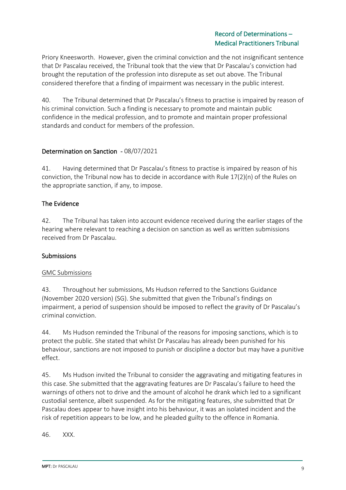Priory Kneesworth. However, given the criminal conviction and the not insignificant sentence that Dr Pascalau received, the Tribunal took that the view that Dr Pascalau's conviction had brought the reputation of the profession into disrepute as set out above. The Tribunal considered therefore that a finding of impairment was necessary in the public interest.

40. The Tribunal determined that Dr Pascalau's fitness to practise is impaired by reason of his criminal conviction. Such a finding is necessary to promote and maintain public confidence in the medical profession, and to promote and maintain proper professional standards and conduct for members of the profession.

# Determination on Sanction - 08/07/2021

41. Having determined that Dr Pascalau's fitness to practise is impaired by reason of his conviction, the Tribunal now has to decide in accordance with Rule 17(2)(n) of the Rules on the appropriate sanction, if any, to impose.

## The Evidence

42. The Tribunal has taken into account evidence received during the earlier stages of the hearing where relevant to reaching a decision on sanction as well as written submissions received from Dr Pascalau.

## Submissions

#### GMC Submissions

43. Throughout her submissions, Ms Hudson referred to the Sanctions Guidance (November 2020 version) (SG). She submitted that given the Tribunal's findings on impairment, a period of suspension should be imposed to reflect the gravity of Dr Pascalau's criminal conviction.

44. Ms Hudson reminded the Tribunal of the reasons for imposing sanctions, which is to protect the public. She stated that whilst Dr Pascalau has already been punished for his behaviour, sanctions are not imposed to punish or discipline a doctor but may have a punitive effect.

45. Ms Hudson invited the Tribunal to consider the aggravating and mitigating features in this case. She submitted that the aggravating features are Dr Pascalau's failure to heed the warnings of others not to drive and the amount of alcohol he drank which led to a significant custodial sentence, albeit suspended. As for the mitigating features, she submitted that Dr Pascalau does appear to have insight into his behaviour, it was an isolated incident and the risk of repetition appears to be low, and he pleaded guilty to the offence in Romania.

46. XXX.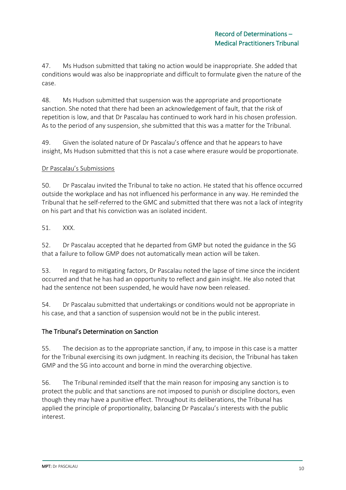47. Ms Hudson submitted that taking no action would be inappropriate. She added that conditions would was also be inappropriate and difficult to formulate given the nature of the case.

48. Ms Hudson submitted that suspension was the appropriate and proportionate sanction. She noted that there had been an acknowledgement of fault, that the risk of repetition is low, and that Dr Pascalau has continued to work hard in his chosen profession. As to the period of any suspension, she submitted that this was a matter for the Tribunal.

49. Given the isolated nature of Dr Pascalau's offence and that he appears to have insight, Ms Hudson submitted that this is not a case where erasure would be proportionate.

## Dr Pascalau's Submissions

50. Dr Pascalau invited the Tribunal to take no action. He stated that his offence occurred outside the workplace and has not influenced his performance in any way. He reminded the Tribunal that he self-referred to the GMC and submitted that there was not a lack of integrity on his part and that his conviction was an isolated incident.

51. XXX.

52. Dr Pascalau accepted that he departed from GMP but noted the guidance in the SG that a failure to follow GMP does not automatically mean action will be taken.

53. In regard to mitigating factors, Dr Pascalau noted the lapse of time since the incident occurred and that he has had an opportunity to reflect and gain insight. He also noted that had the sentence not been suspended, he would have now been released.

54. Dr Pascalau submitted that undertakings or conditions would not be appropriate in his case, and that a sanction of suspension would not be in the public interest.

# The Tribunal's Determination on Sanction

55. The decision as to the appropriate sanction, if any, to impose in this case is a matter for the Tribunal exercising its own judgment. In reaching its decision, the Tribunal has taken GMP and the SG into account and borne in mind the overarching objective.

56. The Tribunal reminded itself that the main reason for imposing any sanction is to protect the public and that sanctions are not imposed to punish or discipline doctors, even though they may have a punitive effect. Throughout its deliberations, the Tribunal has applied the principle of proportionality, balancing Dr Pascalau's interests with the public interest.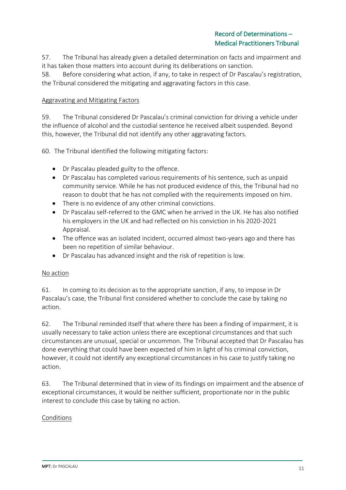57. The Tribunal has already given a detailed determination on facts and impairment and it has taken those matters into account during its deliberations on sanction.

58. Before considering what action, if any, to take in respect of Dr Pascalau's registration, the Tribunal considered the mitigating and aggravating factors in this case.

## Aggravating and Mitigating Factors

59. The Tribunal considered Dr Pascalau's criminal conviction for driving a vehicle under the influence of alcohol and the custodial sentence he received albeit suspended. Beyond this, however, the Tribunal did not identify any other aggravating factors.

60. The Tribunal identified the following mitigating factors:

- Dr Pascalau pleaded guilty to the offence.
- Dr Pascalau has completed various requirements of his sentence, such as unpaid community service. While he has not produced evidence of this, the Tribunal had no reason to doubt that he has not complied with the requirements imposed on him.
- There is no evidence of any other criminal convictions.
- Dr Pascalau self-referred to the GMC when he arrived in the UK. He has also notified his employers in the UK and had reflected on his conviction in his 2020-2021 Appraisal.
- The offence was an isolated incident, occurred almost two-years ago and there has been no repetition of similar behaviour.
- Dr Pascalau has advanced insight and the risk of repetition is low.

#### No action

61. In coming to its decision as to the appropriate sanction, if any, to impose in Dr Pascalau's case, the Tribunal first considered whether to conclude the case by taking no action.

62. The Tribunal reminded itself that where there has been a finding of impairment, it is usually necessary to take action unless there are exceptional circumstances and that such circumstances are unusual, special or uncommon. The Tribunal accepted that Dr Pascalau has done everything that could have been expected of him in light of his criminal conviction, however, it could not identify any exceptional circumstances in his case to justify taking no action.

63. The Tribunal determined that in view of its findings on impairment and the absence of exceptional circumstances, it would be neither sufficient, proportionate nor in the public interest to conclude this case by taking no action.

## Conditions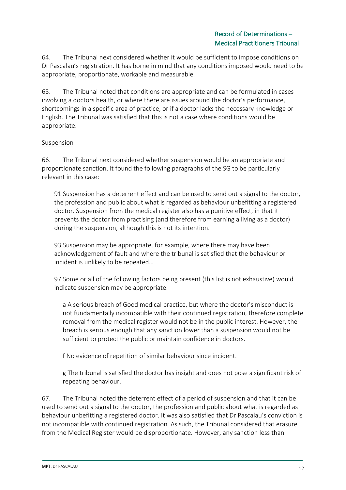64. The Tribunal next considered whether it would be sufficient to impose conditions on Dr Pascalau's registration. It has borne in mind that any conditions imposed would need to be appropriate, proportionate, workable and measurable.

65. The Tribunal noted that conditions are appropriate and can be formulated in cases involving a doctors health, or where there are issues around the doctor's performance, shortcomings in a specific area of practice, or if a doctor lacks the necessary knowledge or English. The Tribunal was satisfied that this is not a case where conditions would be appropriate.

## **Suspension**

66. The Tribunal next considered whether suspension would be an appropriate and proportionate sanction. It found the following paragraphs of the SG to be particularly relevant in this case:

91 Suspension has a deterrent effect and can be used to send out a signal to the doctor, the profession and public about what is regarded as behaviour unbefitting a registered doctor. Suspension from the medical register also has a punitive effect, in that it prevents the doctor from practising (and therefore from earning a living as a doctor) during the suspension, although this is not its intention.

93 Suspension may be appropriate, for example, where there may have been acknowledgement of fault and where the tribunal is satisfied that the behaviour or incident is unlikely to be repeated…

97 Some or all of the following factors being present (this list is not exhaustive) would indicate suspension may be appropriate.

a A serious breach of Good medical practice, but where the doctor's misconduct is not fundamentally incompatible with their continued registration, therefore complete removal from the medical register would not be in the public interest. However, the breach is serious enough that any sanction lower than a suspension would not be sufficient to protect the public or maintain confidence in doctors.

f No evidence of repetition of similar behaviour since incident.

g The tribunal is satisfied the doctor has insight and does not pose a significant risk of repeating behaviour.

67. The Tribunal noted the deterrent effect of a period of suspension and that it can be used to send out a signal to the doctor, the profession and public about what is regarded as behaviour unbefitting a registered doctor. It was also satisfied that Dr Pascalau's conviction is not incompatible with continued registration. As such, the Tribunal considered that erasure from the Medical Register would be disproportionate. However, any sanction less than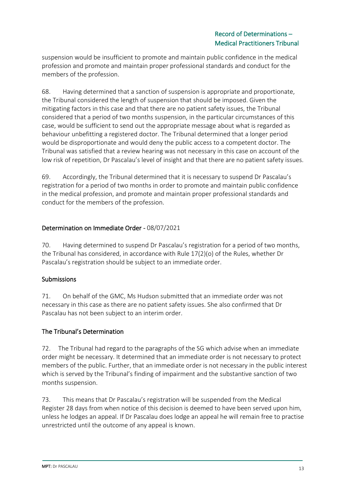suspension would be insufficient to promote and maintain public confidence in the medical profession and promote and maintain proper professional standards and conduct for the members of the profession.

68. Having determined that a sanction of suspension is appropriate and proportionate, the Tribunal considered the length of suspension that should be imposed. Given the mitigating factors in this case and that there are no patient safety issues, the Tribunal considered that a period of two months suspension, in the particular circumstances of this case, would be sufficient to send out the appropriate message about what is regarded as behaviour unbefitting a registered doctor. The Tribunal determined that a longer period would be disproportionate and would deny the public access to a competent doctor. The Tribunal was satisfied that a review hearing was not necessary in this case on account of the low risk of repetition, Dr Pascalau's level of insight and that there are no patient safety issues.

69. Accordingly, the Tribunal determined that it is necessary to suspend Dr Pascalau's registration for a period of two months in order to promote and maintain public confidence in the medical profession, and promote and maintain proper professional standards and conduct for the members of the profession.

# Determination on Immediate Order - 08/07/2021

70. Having determined to suspend Dr Pascalau's registration for a period of two months, the Tribunal has considered, in accordance with Rule  $17(2)(o)$  of the Rules, whether Dr Pascalau's registration should be subject to an immediate order.

## Submissions

71. On behalf of the GMC, Ms Hudson submitted that an immediate order was not necessary in this case as there are no patient safety issues. She also confirmed that Dr Pascalau has not been subject to an interim order.

# The Tribunal's Determination

72. The Tribunal had regard to the paragraphs of the SG which advise when an immediate order might be necessary. It determined that an immediate order is not necessary to protect members of the public. Further, that an immediate order is not necessary in the public interest which is served by the Tribunal's finding of impairment and the substantive sanction of two months suspension.

73. This means that Dr Pascalau's registration will be suspended from the Medical Register 28 days from when notice of this decision is deemed to have been served upon him, unless he lodges an appeal. If Dr Pascalau does lodge an appeal he will remain free to practise unrestricted until the outcome of any appeal is known.